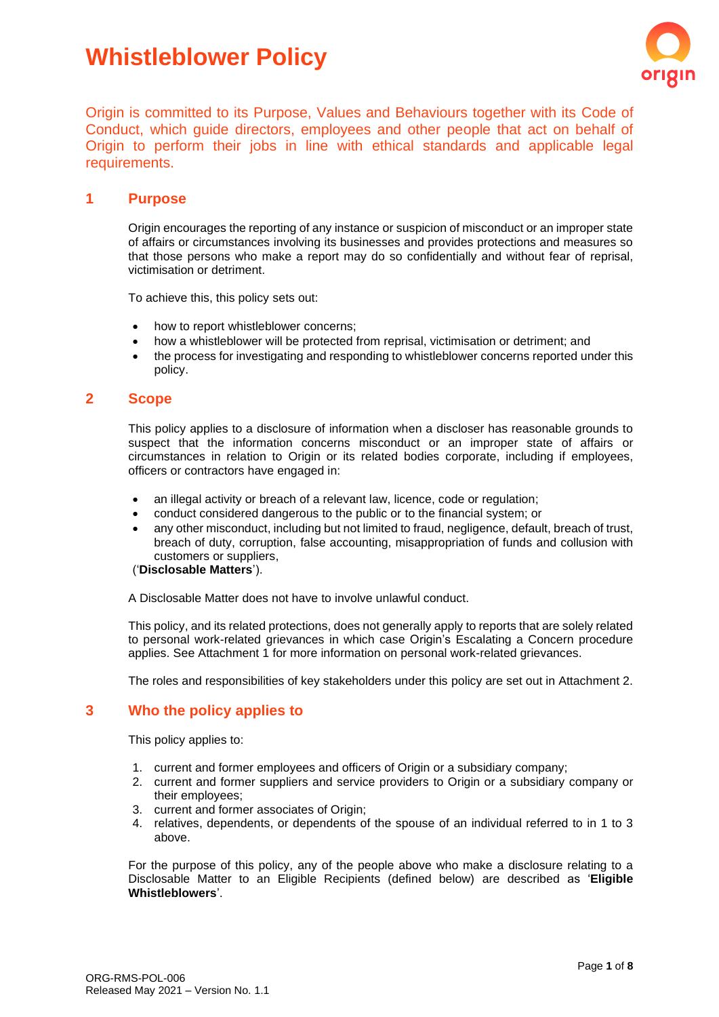# **Whistleblower Policy**



Origin is committed to its Purpose, Values and Behaviours together with its Code of Conduct, which guide directors, employees and other people that act on behalf of Origin to perform their jobs in line with ethical standards and applicable legal requirements.

### **1 Purpose**

Origin encourages the reporting of any instance or suspicion of misconduct or an improper state of affairs or circumstances involving its businesses and provides protections and measures so that those persons who make a report may do so confidentially and without fear of reprisal, victimisation or detriment.

To achieve this, this policy sets out:

- how to report whistleblower concerns;
- how a whistleblower will be protected from reprisal, victimisation or detriment; and
- the process for investigating and responding to whistleblower concerns reported under this policy.

#### **2 Scope**

This policy applies to a disclosure of information when a discloser has reasonable grounds to suspect that the information concerns misconduct or an improper state of affairs or circumstances in relation to Origin or its related bodies corporate, including if employees, officers or contractors have engaged in:

- an illegal activity or breach of a relevant law, licence, code or regulation;
- conduct considered dangerous to the public or to the financial system; or
- any other misconduct, including but not limited to fraud, negligence, default, breach of trust, breach of duty, corruption, false accounting, misappropriation of funds and collusion with customers or suppliers,

# ('**Disclosable Matters**').

A Disclosable Matter does not have to involve unlawful conduct.

This policy, and its related protections, does not generally apply to reports that are solely related to personal work-related grievances in which case Origin's Escalating a Concern procedure applies. See Attachment 1 for more information on personal work-related grievances.

The roles and responsibilities of key stakeholders under this policy are set out in Attachment 2.

# **3 Who the policy applies to**

This policy applies to:

- 1. current and former employees and officers of Origin or a subsidiary company;
- 2. current and former suppliers and service providers to Origin or a subsidiary company or their employees;
- 3. current and former associates of Origin;
- 4. relatives, dependents, or dependents of the spouse of an individual referred to in 1 to 3 above.

For the purpose of this policy, any of the people above who make a disclosure relating to a Disclosable Matter to an Eligible Recipients (defined below) are described as '**Eligible Whistleblowers**'.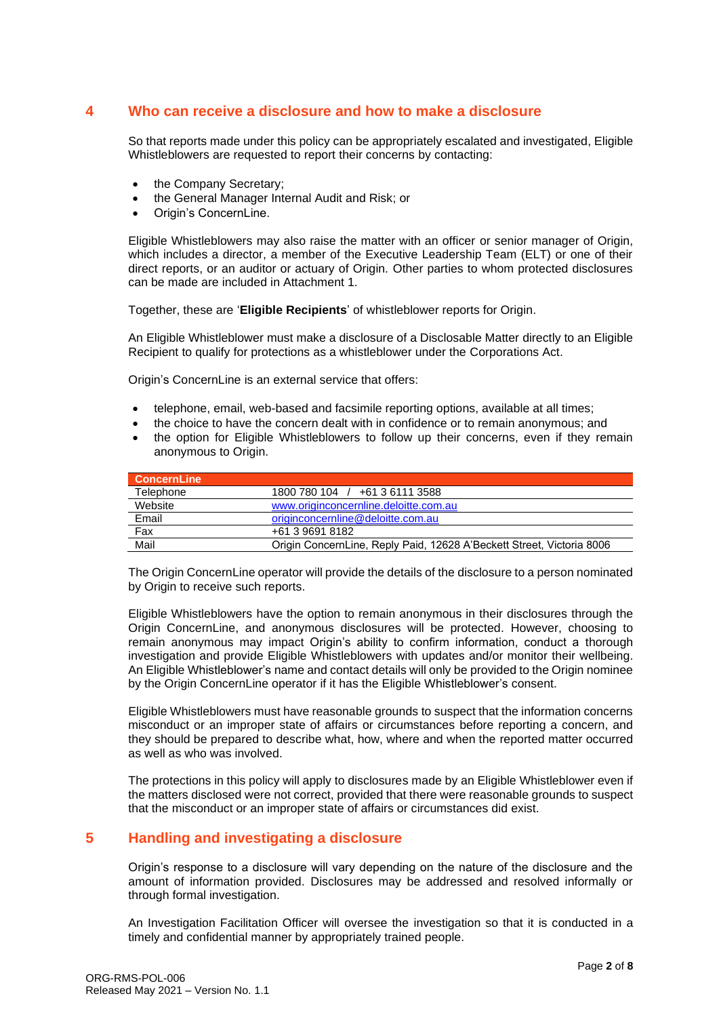# **4 Who can receive a disclosure and how to make a disclosure**

So that reports made under this policy can be appropriately escalated and investigated, Eligible Whistleblowers are requested to report their concerns by contacting:

- the Company Secretary:
- the General Manager Internal Audit and Risk; or
- Origin's ConcernLine.

Eligible Whistleblowers may also raise the matter with an officer or senior manager of Origin, which includes a director, a member of the Executive Leadership Team (ELT) or one of their direct reports, or an auditor or actuary of Origin. Other parties to whom protected disclosures can be made are included in Attachment 1.

Together, these are '**Eligible Recipients**' of whistleblower reports for Origin.

An Eligible Whistleblower must make a disclosure of a Disclosable Matter directly to an Eligible Recipient to qualify for protections as a whistleblower under the Corporations Act.

Origin's ConcernLine is an external service that offers:

- telephone, email, web-based and facsimile reporting options, available at all times;
- the choice to have the concern dealt with in confidence or to remain anonymous; and
- the option for Eligible Whistleblowers to follow up their concerns, even if they remain anonymous to Origin.

| <b>ConcernLine</b> |                                                                       |
|--------------------|-----------------------------------------------------------------------|
| Telephone          | 1800 780 104 / +61 3 6111 3588                                        |
| Website            | www.originconcernline.deloitte.com.au                                 |
| Email              | originconcernline@deloitte.com.au                                     |
| Fax                | +61 3 9691 8182                                                       |
| Mail               | Origin ConcernLine, Reply Paid, 12628 A'Beckett Street, Victoria 8006 |

The Origin ConcernLine operator will provide the details of the disclosure to a person nominated by Origin to receive such reports.

Eligible Whistleblowers have the option to remain anonymous in their disclosures through the Origin ConcernLine, and anonymous disclosures will be protected. However, choosing to remain anonymous may impact Origin's ability to confirm information, conduct a thorough investigation and provide Eligible Whistleblowers with updates and/or monitor their wellbeing. An Eligible Whistleblower's name and contact details will only be provided to the Origin nominee by the Origin ConcernLine operator if it has the Eligible Whistleblower's consent.

Eligible Whistleblowers must have reasonable grounds to suspect that the information concerns misconduct or an improper state of affairs or circumstances before reporting a concern, and they should be prepared to describe what, how, where and when the reported matter occurred as well as who was involved.

The protections in this policy will apply to disclosures made by an Eligible Whistleblower even if the matters disclosed were not correct, provided that there were reasonable grounds to suspect that the misconduct or an improper state of affairs or circumstances did exist.

# **5 Handling and investigating a disclosure**

Origin's response to a disclosure will vary depending on the nature of the disclosure and the amount of information provided. Disclosures may be addressed and resolved informally or through formal investigation.

An Investigation Facilitation Officer will oversee the investigation so that it is conducted in a timely and confidential manner by appropriately trained people.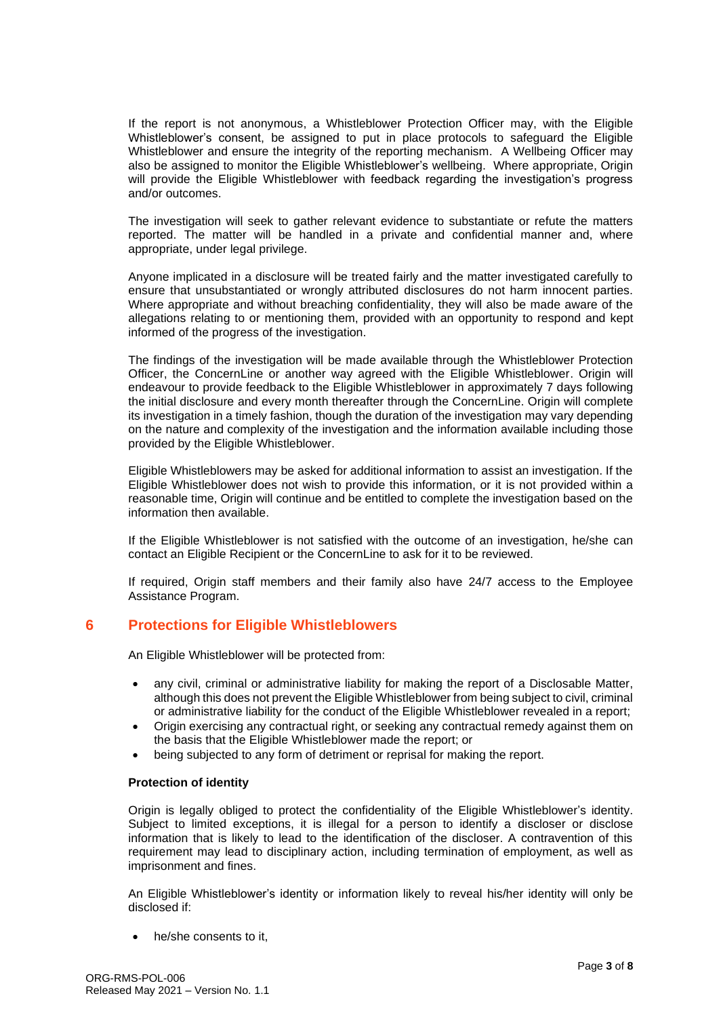If the report is not anonymous, a Whistleblower Protection Officer may, with the Eligible Whistleblower's consent, be assigned to put in place protocols to safeguard the Eligible Whistleblower and ensure the integrity of the reporting mechanism. A Wellbeing Officer may also be assigned to monitor the Eligible Whistleblower's wellbeing. Where appropriate, Origin will provide the Eligible Whistleblower with feedback regarding the investigation's progress and/or outcomes.

The investigation will seek to gather relevant evidence to substantiate or refute the matters reported. The matter will be handled in a private and confidential manner and, where appropriate, under legal privilege.

Anyone implicated in a disclosure will be treated fairly and the matter investigated carefully to ensure that unsubstantiated or wrongly attributed disclosures do not harm innocent parties. Where appropriate and without breaching confidentiality, they will also be made aware of the allegations relating to or mentioning them, provided with an opportunity to respond and kept informed of the progress of the investigation.

The findings of the investigation will be made available through the Whistleblower Protection Officer, the ConcernLine or another way agreed with the Eligible Whistleblower. Origin will endeavour to provide feedback to the Eligible Whistleblower in approximately 7 days following the initial disclosure and every month thereafter through the ConcernLine. Origin will complete its investigation in a timely fashion, though the duration of the investigation may vary depending on the nature and complexity of the investigation and the information available including those provided by the Eligible Whistleblower.

Eligible Whistleblowers may be asked for additional information to assist an investigation. If the Eligible Whistleblower does not wish to provide this information, or it is not provided within a reasonable time, Origin will continue and be entitled to complete the investigation based on the information then available.

If the Eligible Whistleblower is not satisfied with the outcome of an investigation, he/she can contact an Eligible Recipient or the ConcernLine to ask for it to be reviewed.

If required, Origin staff members and their family also have 24/7 access to the Employee Assistance Program.

# **6 Protections for Eligible Whistleblowers**

An Eligible Whistleblower will be protected from:

- any civil, criminal or administrative liability for making the report of a Disclosable Matter, although this does not prevent the Eligible Whistleblower from being subject to civil, criminal or administrative liability for the conduct of the Eligible Whistleblower revealed in a report;
- Origin exercising any contractual right, or seeking any contractual remedy against them on the basis that the Eligible Whistleblower made the report; or
- being subjected to any form of detriment or reprisal for making the report.

#### **Protection of identity**

Origin is legally obliged to protect the confidentiality of the Eligible Whistleblower's identity. Subject to limited exceptions, it is illegal for a person to identify a discloser or disclose information that is likely to lead to the identification of the discloser. A contravention of this requirement may lead to disciplinary action, including termination of employment, as well as imprisonment and fines.

An Eligible Whistleblower's identity or information likely to reveal his/her identity will only be disclosed if:

he/she consents to it.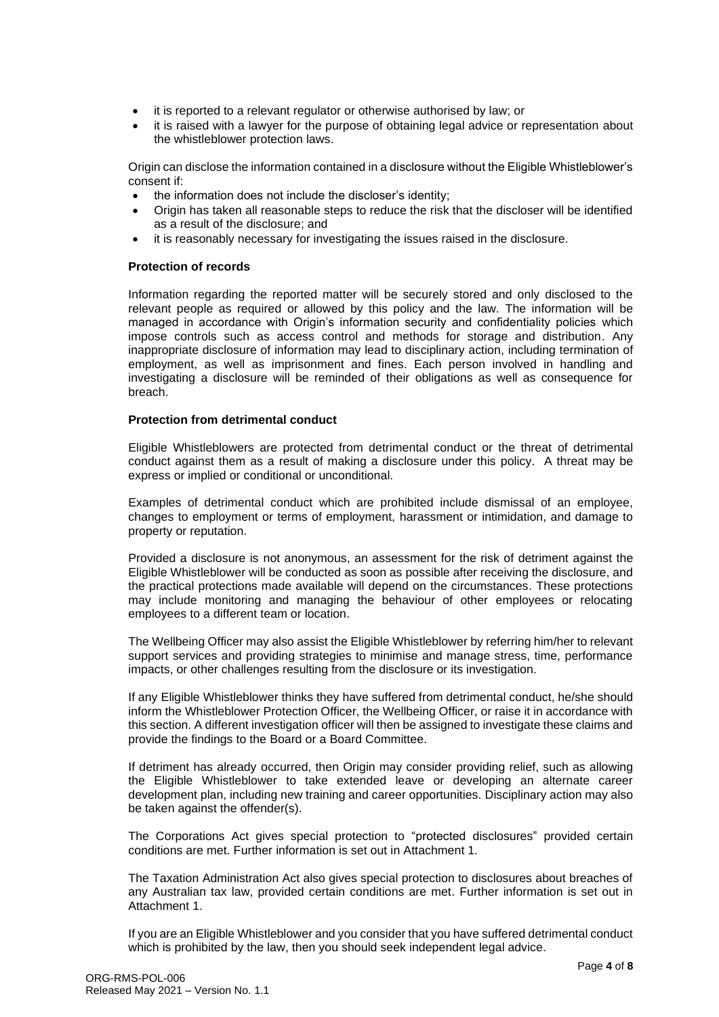- it is reported to a relevant regulator or otherwise authorised by law; or
- it is raised with a lawyer for the purpose of obtaining legal advice or representation about the whistleblower protection laws.

Origin can disclose the information contained in a disclosure without the Eligible Whistleblower's consent if:

- the information does not include the discloser's identity;
- Origin has taken all reasonable steps to reduce the risk that the discloser will be identified as a result of the disclosure; and
- it is reasonably necessary for investigating the issues raised in the disclosure.

#### **Protection of records**

Information regarding the reported matter will be securely stored and only disclosed to the relevant people as required or allowed by this policy and the law. The information will be managed in accordance with Origin's information security and confidentiality policies which impose controls such as access control and methods for storage and distribution. Any inappropriate disclosure of information may lead to disciplinary action, including termination of employment, as well as imprisonment and fines. Each person involved in handling and investigating a disclosure will be reminded of their obligations as well as consequence for breach.

#### **Protection from detrimental conduct**

Eligible Whistleblowers are protected from detrimental conduct or the threat of detrimental conduct against them as a result of making a disclosure under this policy. A threat may be express or implied or conditional or unconditional.

Examples of detrimental conduct which are prohibited include dismissal of an employee, changes to employment or terms of employment, harassment or intimidation, and damage to property or reputation.

Provided a disclosure is not anonymous, an assessment for the risk of detriment against the Eligible Whistleblower will be conducted as soon as possible after receiving the disclosure, and the practical protections made available will depend on the circumstances. These protections may include monitoring and managing the behaviour of other employees or relocating employees to a different team or location.

The Wellbeing Officer may also assist the Eligible Whistleblower by referring him/her to relevant support services and providing strategies to minimise and manage stress, time, performance impacts, or other challenges resulting from the disclosure or its investigation.

If any Eligible Whistleblower thinks they have suffered from detrimental conduct, he/she should inform the Whistleblower Protection Officer, the Wellbeing Officer, or raise it in accordance with this section. A different investigation officer will then be assigned to investigate these claims and provide the findings to the Board or a Board Committee.

If detriment has already occurred, then Origin may consider providing relief, such as allowing the Eligible Whistleblower to take extended leave or developing an alternate career development plan, including new training and career opportunities. Disciplinary action may also be taken against the offender(s).

The Corporations Act gives special protection to "protected disclosures" provided certain conditions are met. Further information is set out in Attachment 1.

The Taxation Administration Act also gives special protection to disclosures about breaches of any Australian tax law, provided certain conditions are met. Further information is set out in Attachment 1.

If you are an Eligible Whistleblower and you consider that you have suffered detrimental conduct which is prohibited by the law, then you should seek independent legal advice.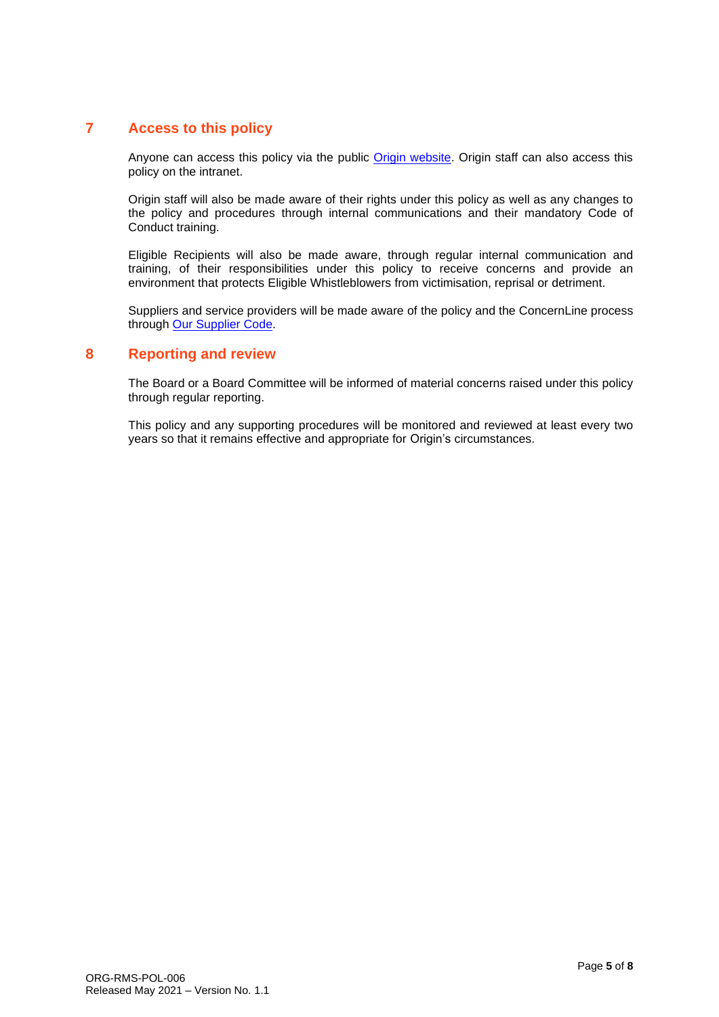# **7 Access to this policy**

Anyone can access this policy via the public [Origin website.](https://www.originenergy.com.au/about/investors-media/governance.html) Origin staff can also access this policy on the intranet.

Origin staff will also be made aware of their rights under this policy as well as any changes to the policy and procedures through internal communications and their mandatory Code of Conduct training.

Eligible Recipients will also be made aware, through regular internal communication and training, of their responsibilities under this policy to receive concerns and provide an environment that protects Eligible Whistleblowers from victimisation, reprisal or detriment.

Suppliers and service providers will be made aware of the policy and the ConcernLine process through [Our Supplier Code.](https://www.originenergy.com.au/content/dam/origin/residential/docs/elec-gas/our-supplier-code.pdf)

# **8 Reporting and review**

The Board or a Board Committee will be informed of material concerns raised under this policy through regular reporting.

This policy and any supporting procedures will be monitored and reviewed at least every two years so that it remains effective and appropriate for Origin's circumstances.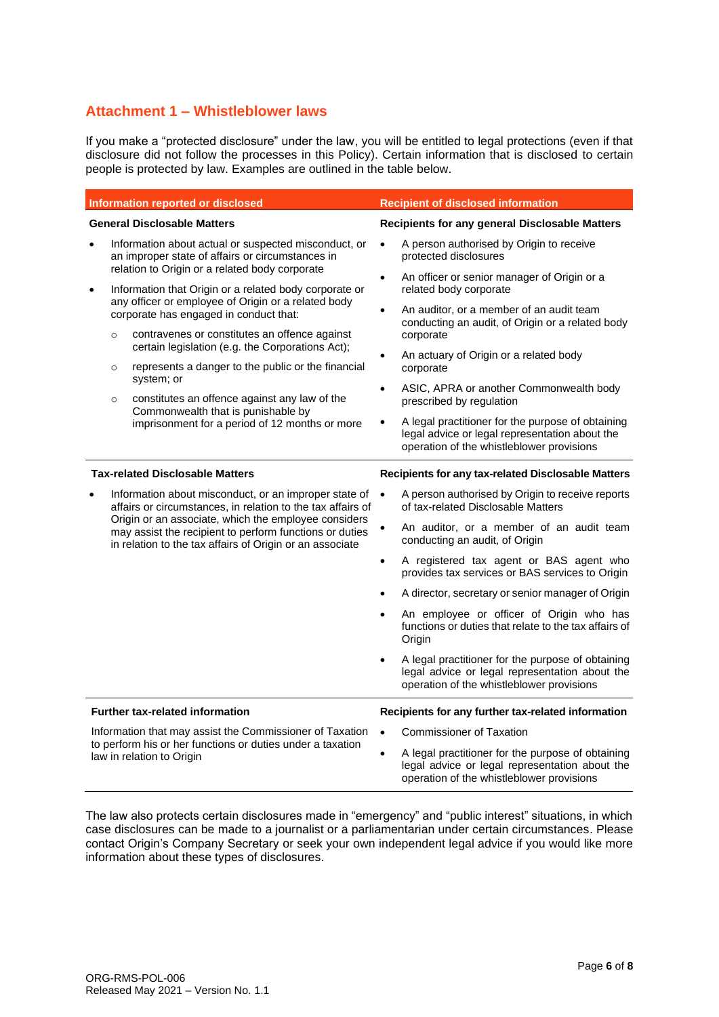# **Attachment 1 – Whistleblower laws**

If you make a "protected disclosure" under the law, you will be entitled to legal protections (even if that disclosure did not follow the processes in this Policy). Certain information that is disclosed to certain people is protected by law. Examples are outlined in the table below.

| <b>Information reported or disclosed</b>                                                                                                            |                                                                                                          |                                                                                                                                                                                                                                                                                                                                                                                                                                                                                                                             | <b>Recipient of disclosed information</b>                     |                                                                                                                                                                                                                                                                                                                                                                                                                                                                                                                                                                                            |  |
|-----------------------------------------------------------------------------------------------------------------------------------------------------|----------------------------------------------------------------------------------------------------------|-----------------------------------------------------------------------------------------------------------------------------------------------------------------------------------------------------------------------------------------------------------------------------------------------------------------------------------------------------------------------------------------------------------------------------------------------------------------------------------------------------------------------------|---------------------------------------------------------------|--------------------------------------------------------------------------------------------------------------------------------------------------------------------------------------------------------------------------------------------------------------------------------------------------------------------------------------------------------------------------------------------------------------------------------------------------------------------------------------------------------------------------------------------------------------------------------------------|--|
| <b>General Disclosable Matters</b>                                                                                                                  |                                                                                                          |                                                                                                                                                                                                                                                                                                                                                                                                                                                                                                                             | Recipients for any general Disclosable Matters                |                                                                                                                                                                                                                                                                                                                                                                                                                                                                                                                                                                                            |  |
|                                                                                                                                                     | Information about actual or suspected misconduct, or<br>an improper state of affairs or circumstances in |                                                                                                                                                                                                                                                                                                                                                                                                                                                                                                                             | $\bullet$                                                     | A person authorised by Origin to receive<br>protected disclosures                                                                                                                                                                                                                                                                                                                                                                                                                                                                                                                          |  |
| $\bullet$                                                                                                                                           | $\circ$<br>$\circ$<br>$\circ$                                                                            | relation to Origin or a related body corporate<br>Information that Origin or a related body corporate or<br>any officer or employee of Origin or a related body<br>corporate has engaged in conduct that:<br>contravenes or constitutes an offence against<br>certain legislation (e.g. the Corporations Act);<br>represents a danger to the public or the financial<br>system; or<br>constitutes an offence against any law of the<br>Commonwealth that is punishable by<br>imprisonment for a period of 12 months or more | $\bullet$<br>$\bullet$<br>$\bullet$<br>$\bullet$<br>$\bullet$ | An officer or senior manager of Origin or a<br>related body corporate<br>An auditor, or a member of an audit team<br>conducting an audit, of Origin or a related body<br>corporate<br>An actuary of Origin or a related body<br>corporate<br>ASIC, APRA or another Commonwealth body<br>prescribed by regulation<br>A legal practitioner for the purpose of obtaining<br>legal advice or legal representation about the<br>operation of the whistleblower provisions                                                                                                                       |  |
| <b>Tax-related Disclosable Matters</b>                                                                                                              |                                                                                                          |                                                                                                                                                                                                                                                                                                                                                                                                                                                                                                                             |                                                               | Recipients for any tax-related Disclosable Matters                                                                                                                                                                                                                                                                                                                                                                                                                                                                                                                                         |  |
|                                                                                                                                                     |                                                                                                          | Information about misconduct, or an improper state of<br>affairs or circumstances, in relation to the tax affairs of<br>Origin or an associate, which the employee considers<br>may assist the recipient to perform functions or duties<br>in relation to the tax affairs of Origin or an associate                                                                                                                                                                                                                         | $\bullet$<br>$\bullet$<br>$\bullet$<br>$\bullet$<br>$\bullet$ | A person authorised by Origin to receive reports<br>of tax-related Disclosable Matters<br>An auditor, or a member of an audit team<br>conducting an audit, of Origin<br>A registered tax agent or BAS agent who<br>provides tax services or BAS services to Origin<br>A director, secretary or senior manager of Origin<br>An employee or officer of Origin who has<br>functions or duties that relate to the tax affairs of<br>Origin<br>A legal practitioner for the purpose of obtaining<br>legal advice or legal representation about the<br>operation of the whistleblower provisions |  |
| <b>Further tax-related information</b>                                                                                                              |                                                                                                          |                                                                                                                                                                                                                                                                                                                                                                                                                                                                                                                             |                                                               | Recipients for any further tax-related information                                                                                                                                                                                                                                                                                                                                                                                                                                                                                                                                         |  |
| Information that may assist the Commissioner of Taxation<br>to perform his or her functions or duties under a taxation<br>law in relation to Origin |                                                                                                          |                                                                                                                                                                                                                                                                                                                                                                                                                                                                                                                             | $\bullet$                                                     | <b>Commissioner of Taxation</b>                                                                                                                                                                                                                                                                                                                                                                                                                                                                                                                                                            |  |
|                                                                                                                                                     |                                                                                                          |                                                                                                                                                                                                                                                                                                                                                                                                                                                                                                                             | $\bullet$                                                     | A legal practitioner for the purpose of obtaining<br>legal advice or legal representation about the<br>operation of the whistleblower provisions                                                                                                                                                                                                                                                                                                                                                                                                                                           |  |

The law also protects certain disclosures made in "emergency" and "public interest" situations, in which case disclosures can be made to a journalist or a parliamentarian under certain circumstances. Please contact Origin's Company Secretary or seek your own independent legal advice if you would like more information about these types of disclosures.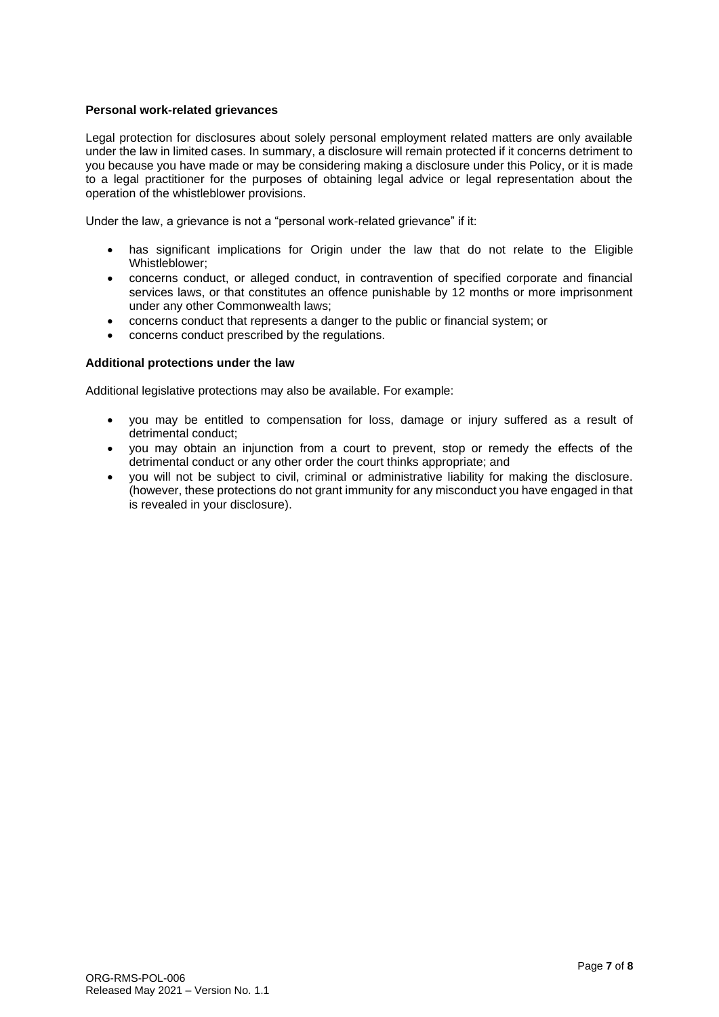#### **Personal work-related grievances**

Legal protection for disclosures about solely personal employment related matters are only available under the law in limited cases. In summary, a disclosure will remain protected if it concerns detriment to you because you have made or may be considering making a disclosure under this Policy, or it is made to a legal practitioner for the purposes of obtaining legal advice or legal representation about the operation of the whistleblower provisions.

Under the law, a grievance is not a "personal work-related grievance" if it:

- has significant implications for Origin under the law that do not relate to the Eligible Whistleblower;
- concerns conduct, or alleged conduct, in contravention of specified corporate and financial services laws, or that constitutes an offence punishable by 12 months or more imprisonment under any other Commonwealth laws;
- concerns conduct that represents a danger to the public or financial system; or
- concerns conduct prescribed by the regulations.

#### **Additional protections under the law**

Additional legislative protections may also be available. For example:

- you may be entitled to compensation for loss, damage or injury suffered as a result of detrimental conduct;
- you may obtain an injunction from a court to prevent, stop or remedy the effects of the detrimental conduct or any other order the court thinks appropriate; and
- you will not be subject to civil, criminal or administrative liability for making the disclosure. (however, these protections do not grant immunity for any misconduct you have engaged in that is revealed in your disclosure).